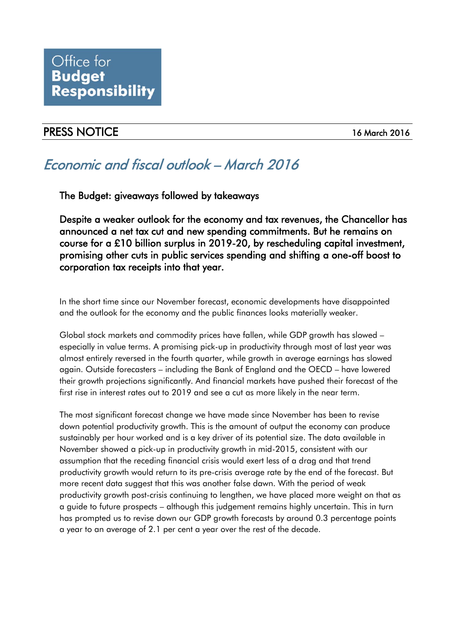## Office for **Budget Responsibility**

### PRESS NOTICE 16 March 2016

# Economic and fiscal outlook – March 2016

The Budget: giveaways followed by takeaways

Despite a weaker outlook for the economy and tax revenues, the Chancellor has announced a net tax cut and new spending commitments. But he remains on course for a £10 billion surplus in 2019-20, by rescheduling capital investment, promising other cuts in public services spending and shifting a one-off boost to corporation tax receipts into that year.

In the short time since our November forecast, economic developments have disappointed and the outlook for the economy and the public finances looks materially weaker.

Global stock markets and commodity prices have fallen, while GDP growth has slowed – especially in value terms. A promising pick-up in productivity through most of last year was almost entirely reversed in the fourth quarter, while growth in average earnings has slowed again. Outside forecasters – including the Bank of England and the OECD – have lowered their growth projections significantly. And financial markets have pushed their forecast of the first rise in interest rates out to 2019 and see a cut as more likely in the near term.

The most significant forecast change we have made since November has been to revise down potential productivity growth. This is the amount of output the economy can produce sustainably per hour worked and is a key driver of its potential size. The data available in November showed a pick-up in productivity growth in mid-2015, consistent with our assumption that the receding financial crisis would exert less of a drag and that trend productivity growth would return to its pre-crisis average rate by the end of the forecast. But more recent data suggest that this was another false dawn. With the period of weak productivity growth post-crisis continuing to lengthen, we have placed more weight on that as a guide to future prospects – although this judgement remains highly uncertain. This in turn has prompted us to revise down our GDP growth forecasts by around 0.3 percentage points a year to an average of 2.1 per cent a year over the rest of the decade.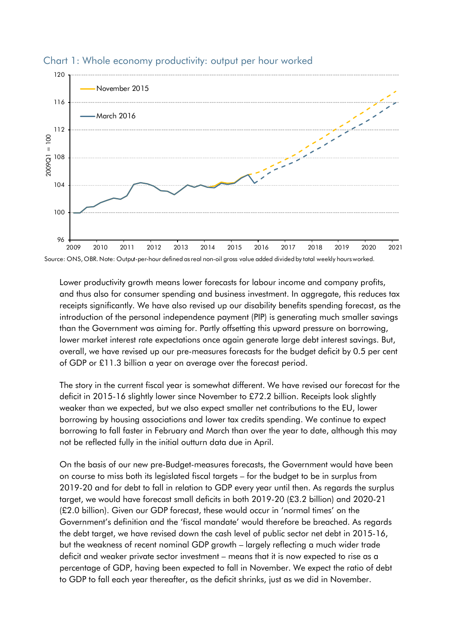

#### Chart 1: Whole economy productivity: output per hour worked

Lower productivity growth means lower forecasts for labour income and company profits, and thus also for consumer spending and business investment. In aggregate, this reduces tax receipts significantly. We have also revised up our disability benefits spending forecast, as the introduction of the personal independence payment (PIP) is generating much smaller savings than the Government was aiming for. Partly offsetting this upward pressure on borrowing, lower market interest rate expectations once again generate large debt interest savings. But, overall, we have revised up our pre-measures forecasts for the budget deficit by 0.5 per cent of GDP or £11.3 billion a year on average over the forecast period.

The story in the current fiscal year is somewhat different. We have revised our forecast for the deficit in 2015-16 slightly lower since November to £72.2 billion. Receipts look slightly weaker than we expected, but we also expect smaller net contributions to the EU, lower borrowing by housing associations and lower tax credits spending. We continue to expect borrowing to fall faster in February and March than over the year to date, although this may not be reflected fully in the initial outturn data due in April.

On the basis of our new pre-Budget-measures forecasts, the Government would have been on course to miss both its legislated fiscal targets – for the budget to be in surplus from 2019-20 and for debt to fall in relation to GDP every year until then. As regards the surplus target, we would have forecast small deficits in both 2019-20 (£3.2 billion) and 2020-21 (£2.0 billion). Given our GDP forecast, these would occur in 'normal times' on the Government's definition and the 'fiscal mandate' would therefore be breached. As regards the debt target, we have revised down the cash level of public sector net debt in 2015-16, but the weakness of recent nominal GDP growth – largely reflecting a much wider trade deficit and weaker private sector investment – means that it is now expected to rise as a percentage of GDP, having been expected to fall in November. We expect the ratio of debt to GDP to fall each year thereafter, as the deficit shrinks, just as we did in November.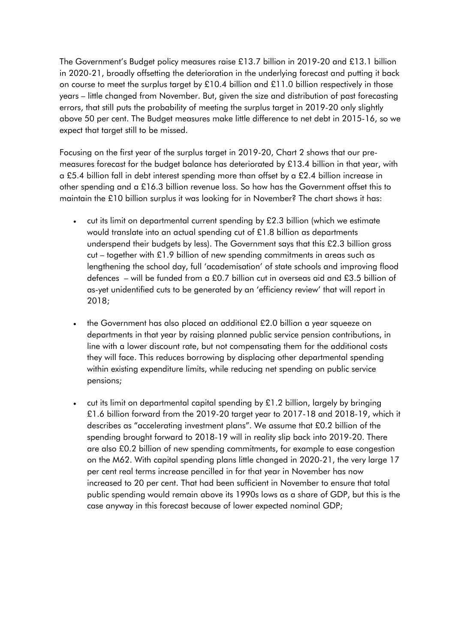The Government's Budget policy measures raise £13.7 billion in 2019-20 and £13.1 billion in 2020-21, broadly offsetting the deterioration in the underlying forecast and putting it back on course to meet the surplus target by £10.4 billion and £11.0 billion respectively in those years – little changed from November. But, given the size and distribution of past forecasting errors, that still puts the probability of meeting the surplus target in 2019-20 only slightly above 50 per cent. The Budget measures make little difference to net debt in 2015-16, so we expect that target still to be missed.

Focusing on the first year of the surplus target in 2019-20, Chart 2 shows that our premeasures forecast for the budget balance has deteriorated by £13.4 billion in that year, with a £5.4 billion fall in debt interest spending more than offset by a £2.4 billion increase in other spending and a £16.3 billion revenue loss. So how has the Government offset this to maintain the £10 billion surplus it was looking for in November? The chart shows it has:

- cut its limit on departmental current spending by £2.3 billion (which we estimate would translate into an actual spending cut of £1.8 billion as departments underspend their budgets by less). The Government says that this £2.3 billion gross  $cut$  – together with £1.9 billion of new spending commitments in areas such as lengthening the school day, full 'academisation' of state schools and improving flood defences – will be funded from a £0.7 billion cut in overseas aid and £3.5 billion of as-yet unidentified cuts to be generated by an 'efficiency review' that will report in 2018;
- the Government has also placed an additional £2.0 billion a year squeeze on departments in that year by raising planned public service pension contributions, in line with a lower discount rate, but not compensating them for the additional costs they will face. This reduces borrowing by displacing other departmental spending within existing expenditure limits, while reducing net spending on public service pensions;
- cut its limit on departmental capital spending by  $£1.2$  billion, largely by bringing £1.6 billion forward from the 2019-20 target year to 2017-18 and 2018-19, which it describes as "accelerating investment plans". We assume that £0.2 billion of the spending brought forward to 2018-19 will in reality slip back into 2019-20. There are also £0.2 billion of new spending commitments, for example to ease congestion on the M62. With capital spending plans little changed in 2020-21, the very large 17 per cent real terms increase pencilled in for that year in November has now increased to 20 per cent. That had been sufficient in November to ensure that total public spending would remain above its 1990s lows as a share of GDP, but this is the case anyway in this forecast because of lower expected nominal GDP;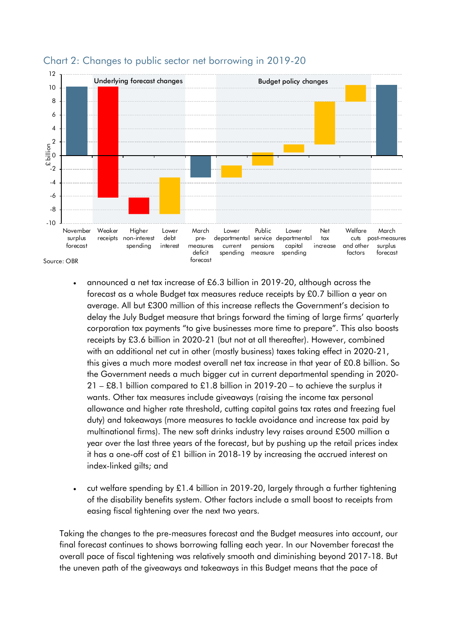

#### Chart 2: Changes to public sector net borrowing in 2019-20

- announced a net tax increase of £6.3 billion in 2019-20, although across the forecast as a whole Budget tax measures reduce receipts by £0.7 billion a year on average. All but £300 million of this increase reflects the Government's decision to delay the July Budget measure that brings forward the timing of large firms' quarterly corporation tax payments "to give businesses more time to prepare". This also boosts receipts by £3.6 billion in 2020-21 (but not at all thereafter). However, combined with an additional net cut in other (mostly business) taxes taking effect in 2020-21, this gives a much more modest overall net tax increase in that year of £0.8 billion. So the Government needs a much bigger cut in current departmental spending in 2020- 21 – £8.1 billion compared to £1.8 billion in 2019-20 – to achieve the surplus it wants. Other tax measures include giveaways (raising the income tax personal allowance and higher rate threshold, cutting capital gains tax rates and freezing fuel duty) and takeaways (more measures to tackle avoidance and increase tax paid by multinational firms). The new soft drinks industry levy raises around £500 million a year over the last three years of the forecast, but by pushing up the retail prices index it has a one-off cost of £1 billion in 2018-19 by increasing the accrued interest on index-linked gilts; and
- cut welfare spending by  $£1.4$  billion in 2019-20, largely through a further tightening of the disability benefits system. Other factors include a small boost to receipts from easing fiscal tightening over the next two years.

Taking the changes to the pre-measures forecast and the Budget measures into account, our final forecast continues to shows borrowing falling each year. In our November forecast the overall pace of fiscal tightening was relatively smooth and diminishing beyond 2017-18. But the uneven path of the giveaways and takeaways in this Budget means that the pace of